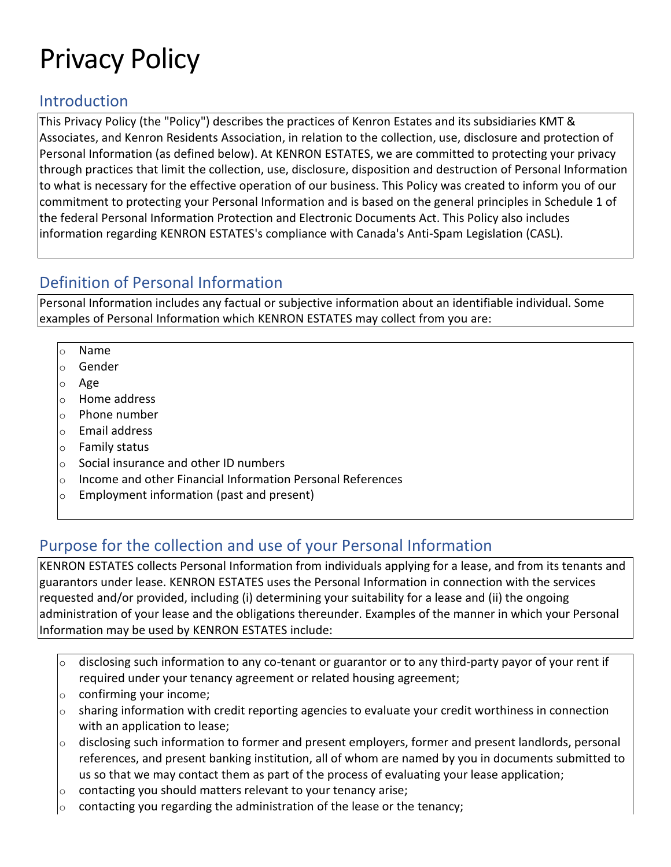# Privacy Policy

#### Introduction

This Privacy Policy (the "Policy") describes the practices of Kenron Estates and its subsidiaries KMT & Associates, and Kenron Residents Association, in relation to the collection, use, disclosure and protection of Personal Information (as defined below). At KENRON ESTATES, we are committed to protecting your privacy through practices that limit the collection, use, disclosure, disposition and destruction of Personal Information to what is necessary for the effective operation of our business. This Policy was created to inform you of our commitment to protecting your Personal Information and is based on the general principles in Schedule 1 of the federal Personal Information Protection and Electronic Documents Act. This Policy also includes information regarding KENRON ESTATES's compliance with Canada's Anti-Spam Legislation (CASL).

#### Definition of Personal Information

Personal Information includes any factual or subjective information about an identifiable individual. Some examples of Personal Information which KENRON ESTATES may collect from you are:

- o Name
- o Gender
- o Age
- o Home address
- o Phone number
- o Email address
- o Family status
- o Social insurance and other ID numbers
- o Income and other Financial Information Personal References
- o Employment information (past and present)

## Purpose for the collection and use of your Personal Information

KENRON ESTATES collects Personal Information from individuals applying for a lease, and from its tenants and guarantors under lease. KENRON ESTATES uses the Personal Information in connection with the services requested and/or provided, including (i) determining your suitability for a lease and (ii) the ongoing administration of your lease and the obligations thereunder. Examples of the manner in which your Personal Information may be used by KENRON ESTATES include:

- $\circ$  disclosing such information to any co-tenant or guarantor or to any third-party payor of your rent if required under your tenancy agreement or related housing agreement;
- $\circ$  confirming your income;
- $\circ$  sharing information with credit reporting agencies to evaluate your credit worthiness in connection with an application to lease;
- $\circ$  disclosing such information to former and present employers, former and present landlords, personal references, and present banking institution, all of whom are named by you in documents submitted to us so that we may contact them as part of the process of evaluating your lease application;
- contacting you should matters relevant to your tenancy arise;
- $\circ$  contacting you regarding the administration of the lease or the tenancy;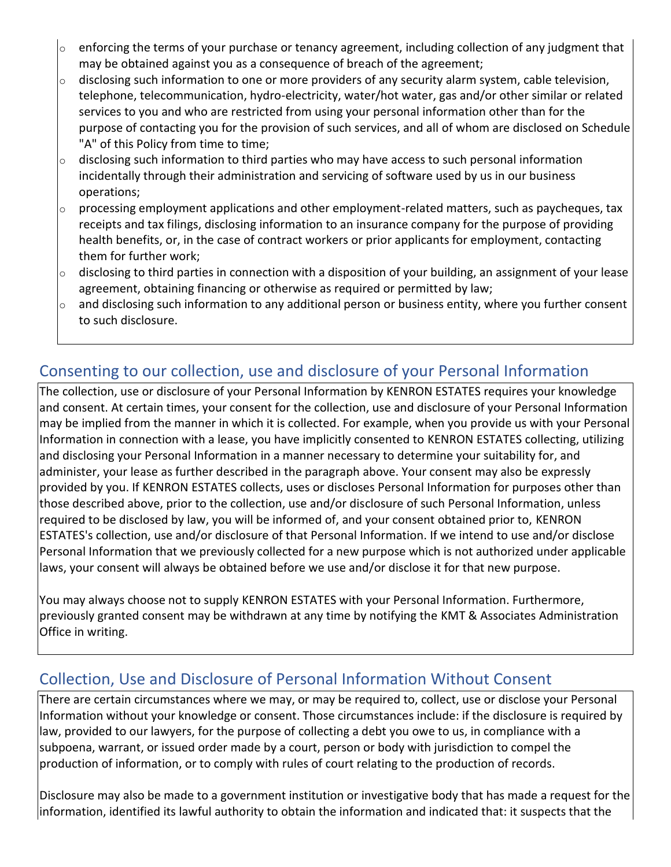- enforcing the terms of your purchase or tenancy agreement, including collection of any judgment that may be obtained against you as a consequence of breach of the agreement;
- $\circ$  disclosing such information to one or more providers of any security alarm system, cable television, telephone, telecommunication, hydro-electricity, water/hot water, gas and/or other similar or related services to you and who are restricted from using your personal information other than for the purpose of contacting you for the provision of such services, and all of whom are disclosed on Schedule "A" of this Policy from time to time;
- $\circ$  disclosing such information to third parties who may have access to such personal information incidentally through their administration and servicing of software used by us in our business operations;
- $\circ$  processing employment applications and other employment-related matters, such as paycheques, tax receipts and tax filings, disclosing information to an insurance company for the purpose of providing health benefits, or, in the case of contract workers or prior applicants for employment, contacting them for further work;
- $\circ$  disclosing to third parties in connection with a disposition of your building, an assignment of your lease agreement, obtaining financing or otherwise as required or permitted by law;
- $\circ$  and disclosing such information to any additional person or business entity, where you further consent to such disclosure.

## Consenting to our collection, use and disclosure of your Personal Information

The collection, use or disclosure of your Personal Information by KENRON ESTATES requires your knowledge and consent. At certain times, your consent for the collection, use and disclosure of your Personal Information may be implied from the manner in which it is collected. For example, when you provide us with your Personal Information in connection with a lease, you have implicitly consented to KENRON ESTATES collecting, utilizing and disclosing your Personal Information in a manner necessary to determine your suitability for, and administer, your lease as further described in the paragraph above. Your consent may also be expressly provided by you. If KENRON ESTATES collects, uses or discloses Personal Information for purposes other than those described above, prior to the collection, use and/or disclosure of such Personal Information, unless required to be disclosed by law, you will be informed of, and your consent obtained prior to, KENRON ESTATES's collection, use and/or disclosure of that Personal Information. If we intend to use and/or disclose Personal Information that we previously collected for a new purpose which is not authorized under applicable laws, your consent will always be obtained before we use and/or disclose it for that new purpose.

You may always choose not to supply KENRON ESTATES with your Personal Information. Furthermore, previously granted consent may be withdrawn at any time by notifying the KMT & Associates Administration Office in writing.

## Collection, Use and Disclosure of Personal Information Without Consent

There are certain circumstances where we may, or may be required to, collect, use or disclose your Personal Information without your knowledge or consent. Those circumstances include: if the disclosure is required by law, provided to our lawyers, for the purpose of collecting a debt you owe to us, in compliance with a subpoena, warrant, or issued order made by a court, person or body with jurisdiction to compel the production of information, or to comply with rules of court relating to the production of records.

Disclosure may also be made to a government institution or investigative body that has made a request for the information, identified its lawful authority to obtain the information and indicated that: it suspects that the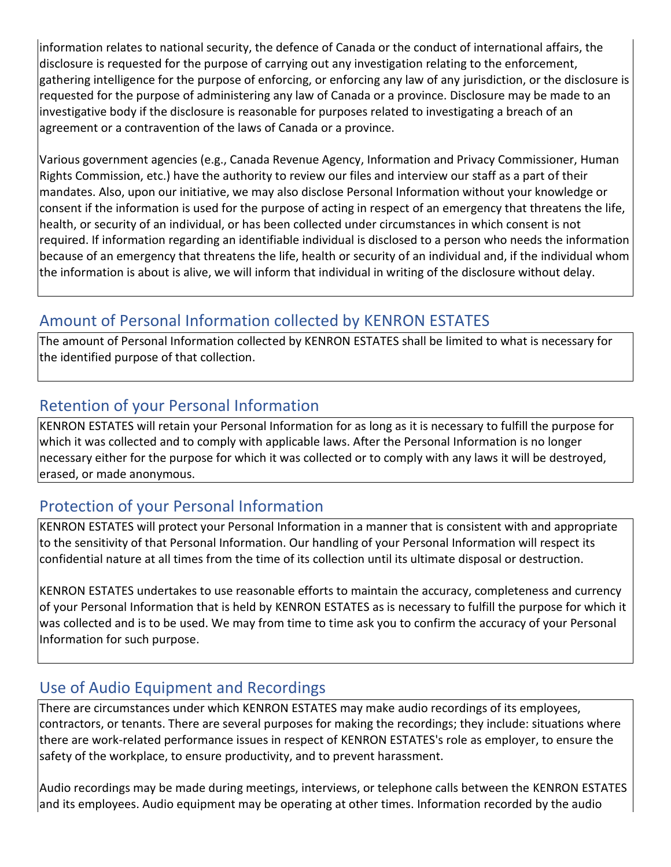information relates to national security, the defence of Canada or the conduct of international affairs, the disclosure is requested for the purpose of carrying out any investigation relating to the enforcement, gathering intelligence for the purpose of enforcing, or enforcing any law of any jurisdiction, or the disclosure is requested for the purpose of administering any law of Canada or a province. Disclosure may be made to an investigative body if the disclosure is reasonable for purposes related to investigating a breach of an agreement or a contravention of the laws of Canada or a province.

Various government agencies (e.g., Canada Revenue Agency, Information and Privacy Commissioner, Human Rights Commission, etc.) have the authority to review our files and interview our staff as a part of their mandates. Also, upon our initiative, we may also disclose Personal Information without your knowledge or consent if the information is used for the purpose of acting in respect of an emergency that threatens the life, health, or security of an individual, or has been collected under circumstances in which consent is not required. If information regarding an identifiable individual is disclosed to a person who needs the information because of an emergency that threatens the life, health or security of an individual and, if the individual whom the information is about is alive, we will inform that individual in writing of the disclosure without delay.

## Amount of Personal Information collected by KENRON ESTATES

The amount of Personal Information collected by KENRON ESTATES shall be limited to what is necessary for the identified purpose of that collection.

## Retention of your Personal Information

KENRON ESTATES will retain your Personal Information for as long as it is necessary to fulfill the purpose for which it was collected and to comply with applicable laws. After the Personal Information is no longer necessary either for the purpose for which it was collected or to comply with any laws it will be destroyed, erased, or made anonymous.

## Protection of your Personal Information

KENRON ESTATES will protect your Personal Information in a manner that is consistent with and appropriate to the sensitivity of that Personal Information. Our handling of your Personal Information will respect its confidential nature at all times from the time of its collection until its ultimate disposal or destruction.

KENRON ESTATES undertakes to use reasonable efforts to maintain the accuracy, completeness and currency of your Personal Information that is held by KENRON ESTATES as is necessary to fulfill the purpose for which it was collected and is to be used. We may from time to time ask you to confirm the accuracy of your Personal Information for such purpose.

## Use of Audio Equipment and Recordings

There are circumstances under which KENRON ESTATES may make audio recordings of its employees, contractors, or tenants. There are several purposes for making the recordings; they include: situations where there are work-related performance issues in respect of KENRON ESTATES's role as employer, to ensure the safety of the workplace, to ensure productivity, and to prevent harassment.

Audio recordings may be made during meetings, interviews, or telephone calls between the KENRON ESTATES and its employees. Audio equipment may be operating at other times. Information recorded by the audio